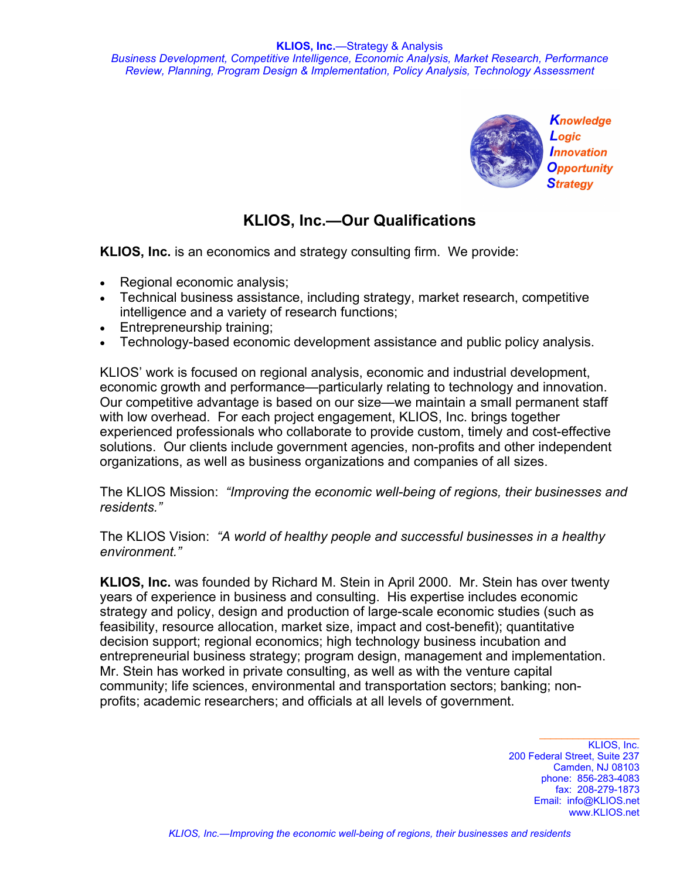

## **KLIOS, Inc.—Our Qualifications**

**KLIOS, Inc.** is an economics and strategy consulting firm. We provide:

- Regional economic analysis;
- Technical business assistance, including strategy, market research, competitive intelligence and a variety of research functions;
- Entrepreneurship training;
- Technology-based economic development assistance and public policy analysis.

KLIOS' work is focused on regional analysis, economic and industrial development, economic growth and performance—particularly relating to technology and innovation. Our competitive advantage is based on our size—we maintain a small permanent staff with low overhead. For each project engagement, KLIOS, Inc. brings together experienced professionals who collaborate to provide custom, timely and cost-effective solutions. Our clients include government agencies, non-profits and other independent organizations, as well as business organizations and companies of all sizes.

The KLIOS Mission: *"Improving the economic well-being of regions, their businesses and residents."*

The KLIOS Vision: *"A world of healthy people and successful businesses in a healthy environment."*

**KLIOS, Inc.** was founded by Richard M. Stein in April 2000. Mr. Stein has over twenty years of experience in business and consulting. His expertise includes economic strategy and policy, design and production of large-scale economic studies (such as feasibility, resource allocation, market size, impact and cost-benefit); quantitative decision support; regional economics; high technology business incubation and entrepreneurial business strategy; program design, management and implementation. Mr. Stein has worked in private consulting, as well as with the venture capital community; life sciences, environmental and transportation sectors; banking; nonprofits; academic researchers; and officials at all levels of government.

> KLIOS, Inc. 200 Federal Street, Suite 237 Camden, NJ 08103 phone: 856-283-4083 fax: 208-279-1873 Email: info@KLIOS.net www.KLIOS.net

 $\_$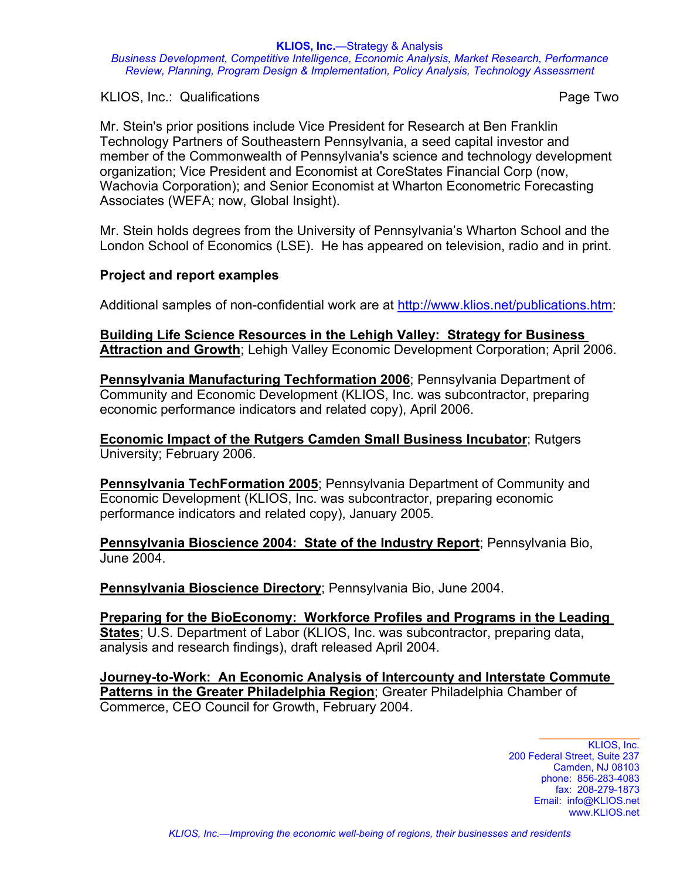**KLIOS, Inc.**—Strategy & Analysis

*Business Development, Competitive Intelligence, Economic Analysis, Market Research, Performance Review, Planning, Program Design & Implementation, Policy Analysis, Technology Assessment* 

KLIOS, Inc.: Qualifications **Page Two** 

Mr. Stein's prior positions include Vice President for Research at Ben Franklin Technology Partners of Southeastern Pennsylvania, a seed capital investor and member of the Commonwealth of Pennsylvania's science and technology development organization; Vice President and Economist at CoreStates Financial Corp (now, Wachovia Corporation); and Senior Economist at Wharton Econometric Forecasting Associates (WEFA; now, Global Insight).

Mr. Stein holds degrees from the University of Pennsylvania's Wharton School and the London School of Economics (LSE). He has appeared on television, radio and in print.

## **Project and report examples**

Additional samples of non-confidential work are at http://www.klios.net/publications.htm:

**[Building Life Science Resources in the Lehigh Valley: Strategy for Business](http://www.klios.net/LVEDC_LifeSciences_final.pdf)  Attraction and Growth**; Lehigh Valley Economic Development Corporation; April 2006.

**[Pennsylvania Manufacturing Techformation 2006](http://klios.net/PA_manufacturing_techformation_2006.pdf)**; Pennsylvania Department of Community and Economic Development (KLIOS, Inc. was subcontractor, preparing economic performance indicators and related copy), April 2006.

**[Economic Impact of the Rutgers Camden Small Business Incubator](http://klios.net/Rutgers_Incubator_Impact2006.pdf)**; Rutgers University; February 2006.

**[Pennsylvania TechFormation 2005](http://www.klios.net/PA_DCED_TechFormationReport_2005.pdf)**; Pennsylvania Department of Community and Economic Development (KLIOS, Inc. was subcontractor, preparing economic performance indicators and related copy), January 2005.

**[Pennsylvania Bioscience 2004: State of the Industry Report](http://klios.net/Pennsylvania_Bioscience_Report04.pdf)**; Pennsylvania Bio, June 2004.

**[Pennsylvania Bioscience Directory](http://klios.net/PA04BioscienceDirectory.pdf)**; Pennsylvania Bio, June 2004.

**Preparing for the BioEconomy: Workforce Profiles and Programs in the Leading States**; U.S. Department of Labor (KLIOS, Inc. was subcontractor, preparing data, analysis and research findings), draft released April 2004.

**[Journey-to-Work: An Economic Analysis of Intercounty and Interstate Commute](http://klios.net/GPCC_JTW_Economic_Analysis.pdf)  Patterns in the Greater Philadelphia Region**; Greater Philadelphia Chamber of Commerce, CEO Council for Growth, February 2004.

> KLIOS, Inc. 200 Federal Street, Suite 237 Camden, NJ 08103 phone: 856-283-4083 fax: 208-279-1873 Email: info@KLIOS.net www.KLIOS.net

 $\_$